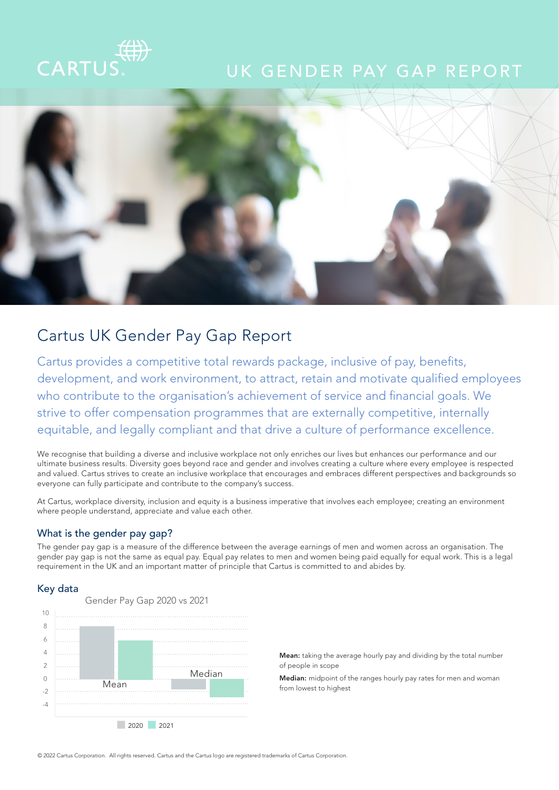# CARTU

## UK GENDER PAY GAP REPORT



### Cartus UK Gender Pay Gap Report

Cartus provides a competitive total rewards package, inclusive of pay, benefits, development, and work environment, to attract, retain and motivate qualified employees who contribute to the organisation's achievement of service and financial goals. We strive to offer compensation programmes that are externally competitive, internally equitable, and legally compliant and that drive a culture of performance excellence.

We recognise that building a diverse and inclusive workplace not only enriches our lives but enhances our performance and our ultimate business results. Diversity goes beyond race and gender and involves creating a culture where every employee is respected and valued. Cartus strives to create an inclusive workplace that encourages and embraces different perspectives and backgrounds so everyone can fully participate and contribute to the company's success.

At Cartus, workplace diversity, inclusion and equity is a business imperative that involves each employee; creating an environment where people understand, appreciate and value each other.

#### What is the gender pay gap?

The gender pay gap is a measure of the difference between the average earnings of men and women across an organisation. The gender pay gap is not the same as equal pay. Equal pay relates to men and women being paid equally for equal work. This is a legal requirement in the UK and an important matter of principle that Cartus is committed to and abides by.

#### Key data



Mean: taking the average hourly pay and dividing by the total number of people in scope

Median: midpoint of the ranges hourly pay rates for men and woman from lowest to highest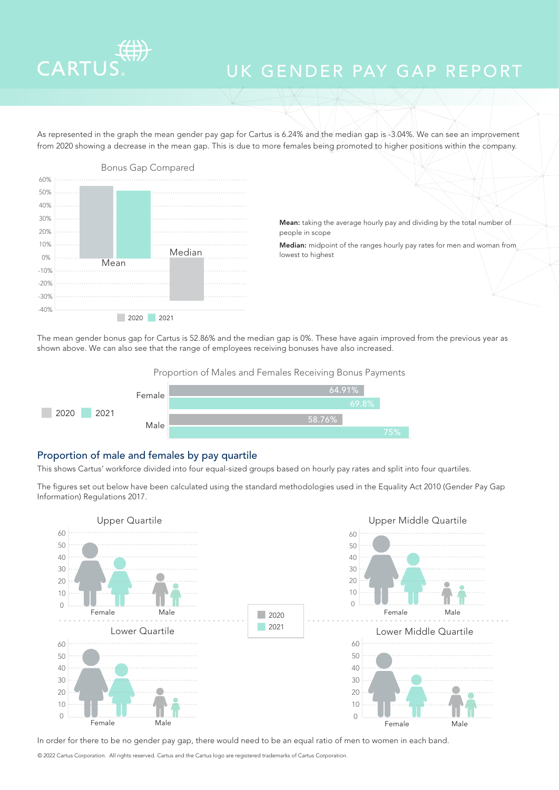

## UK GENDER PAY GAP REPORT

As represented in the graph the mean gender pay gap for Cartus is 6.24% and the median gap is -3.04%. We can see an improvement from 2020 showing a decrease in the mean gap. This is due to more females being promoted to higher positions within the company.



Mean: taking the average hourly pay and dividing by the total number of people in scope

Median: midpoint of the ranges hourly pay rates for men and woman from lowest to highest

The mean gender bonus gap for Cartus is 52.86% and the median gap is 0%. These have again improved from the previous year as shown above. We can also see that the range of employees receiving bonuses have also increased.

Proportion of Males and Females Receiving Bonus Payments



#### Proportion of male and females by pay quartile

This shows Cartus' workforce divided into four equal-sized groups based on hourly pay rates and split into four quartiles.

The figures set out below have been calculated using the standard methodologies used in the Equality Act 2010 (Gender Pay Gap Information) Regulations 2017.



In order for there to be no gender pay gap, there would need to be an equal ratio of men to women in each band.

© 2022 Cartus Corporation. All rights reserved. Cartus and the Cartus logo are registered trademarks of Cartus Corporation.